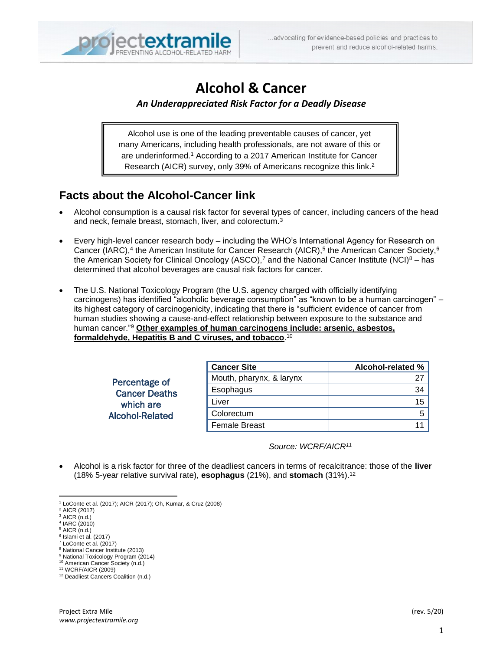

# **Alcohol & Cancer**

#### *An Underappreciated Risk Factor for a Deadly Disease*

Alcohol use is one of the leading preventable causes of cancer, yet many Americans, including health professionals, are not aware of this or are underinformed.<sup>1</sup> According to a 2017 American Institute for Cancer Research (AICR) survey, only 39% of Americans recognize this link. 2

### **Facts about the Alcohol-Cancer link**

- Alcohol consumption is a causal risk factor for several types of cancer, including cancers of the head and neck, female breast, stomach, liver, and colorectum.<sup>3</sup>
- Every high-level cancer research body including the WHO's International Agency for Research on Cancer (IARC),<sup>4</sup> the American Institute for Cancer Research (AICR),<sup>5</sup> the American Cancer Society,<sup>6</sup> the American Society for Clinical Oncology (ASCO),<sup>7</sup> and the National Cancer Institute (NCI)<sup>8</sup> – has determined that alcohol beverages are causal risk factors for cancer.
- The U.S. National Toxicology Program (the U.S. agency charged with officially identifying carcinogens) has identified "alcoholic beverage consumption" as "known to be a human carcinogen" – its highest category of carcinogenicity, indicating that there is "sufficient evidence of cancer from human studies showing a cause-and-effect relationship between exposure to the substance and human cancer."<sup>9</sup> **Other examples of human carcinogens include: arsenic, asbestos, formaldehyde, Hepatitis B and C viruses, and tobacco**. 10

Percentage of Cancer Deaths which are Alcohol-Related

| <b>Cancer Site</b>       | Alcohol-related % |
|--------------------------|-------------------|
| Mouth, pharynx, & larynx |                   |
| Esophagus                | 34                |
| Liver                    | 15                |
| Colorectum               |                   |
| <b>Female Breast</b>     |                   |

*Source: WCRF/AICR<sup>11</sup>*

• Alcohol is a risk factor for three of the deadliest cancers in terms of recalcitrance: those of the **liver** (18% 5-year relative survival rate), **esophagus** (21%), and **stomach** (31%).<sup>12</sup>

<sup>8</sup> National Cancer Institute (2013) <sup>9</sup> National Toxicology Program (2014)

<sup>1</sup> LoConte et al. (2017); AICR (2017); Oh, Kumar, & Cruz (2008)

<sup>2</sup> AICR (2017)

 $3$  AICR  $(n.d.)$ 

<sup>4</sup> IARC (2010)  $<sup>5</sup>$  AICR (n.d.)</sup>

<sup>6</sup> Islami et al. (2017)

<sup>7</sup> LoConte et al. (2017)

<sup>10</sup> American Cancer Society (n.d.)

<sup>11</sup> WCRF/AICR (2009)

<sup>12</sup> Deadliest Cancers Coalition (n.d.)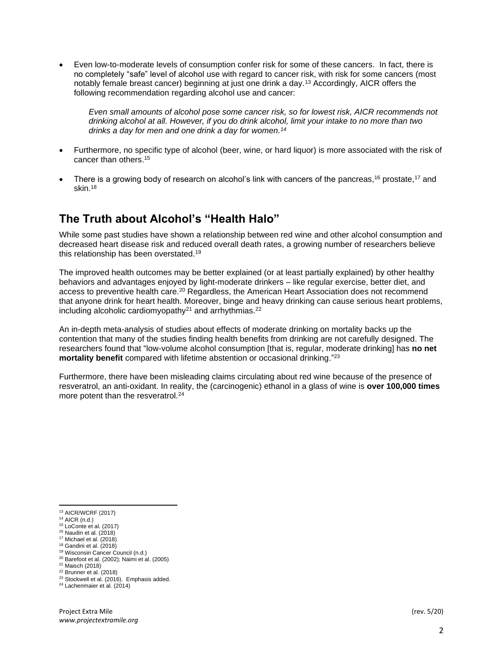• Even low-to-moderate levels of consumption confer risk for some of these cancers. In fact, there is no completely "safe" level of alcohol use with regard to cancer risk, with risk for some cancers (most notably female breast cancer) beginning at just one drink a day.<sup>13</sup> Accordingly, AICR offers the following recommendation regarding alcohol use and cancer:

*Even small amounts of alcohol pose some cancer risk, so for lowest risk, AICR recommends not drinking alcohol at all. However, if you do drink alcohol, limit your intake to no more than two drinks a day for men and one drink a day for women. 14*

- Furthermore, no specific type of alcohol (beer, wine, or hard liquor) is more associated with the risk of cancer than others. 15
- There is a growing body of research on alcohol's link with cancers of the pancreas,<sup>16</sup> prostate,<sup>17</sup> and skin.<sup>18</sup>

#### **The Truth about Alcohol's "Health Halo"**

While some past studies have shown a relationship between red wine and other alcohol consumption and decreased heart disease risk and reduced overall death rates, a growing number of researchers believe this relationship has been overstated.<sup>19</sup>

The improved health outcomes may be better explained (or at least partially explained) by other healthy behaviors and advantages enjoyed by light-moderate drinkers – like regular exercise, better diet, and access to preventive health care.<sup>20</sup> Regardless, the American Heart Association does not recommend that anyone drink for heart health. Moreover, binge and heavy drinking can cause serious heart problems, including alcoholic cardiomyopathy<sup>21</sup> and arrhythmias.<sup>22</sup>

An in-depth meta-analysis of studies about effects of moderate drinking on mortality backs up the contention that many of the studies finding health benefits from drinking are not carefully designed. The researchers found that "low-volume alcohol consumption [that is, regular, moderate drinking] has **no net mortality benefit** compared with lifetime abstention or occasional drinking."<sup>23</sup>

Furthermore, there have been misleading claims circulating about red wine because of the presence of resveratrol, an anti-oxidant. In reality, the (carcinogenic) ethanol in a glass of wine is **over 100,000 times** more potent than the resveratrol.<sup>24</sup>

- <sup>19</sup> Wisconsin Cancer Council (n.d.) <sup>20</sup> Barefoot et al. (2002); Naimi et al. (2005)
- <sup>21</sup> Maisch (2018)

<sup>13</sup> AICR/WCRF (2017)

<sup>14</sup> AICR (n.d.)

<sup>15</sup> LoConte et al. (2017)

<sup>16</sup> Naudin et al. (2018)

 $17$  Michael et al.  $(2018)$ 

<sup>18</sup> Gandini et al. (2018)

 $22$  Brunner et al. (2018)

<sup>&</sup>lt;sup>23</sup> Stockwell et al. (2016). Emphasis added.

<sup>24</sup> Lachenmaier et al. (2014)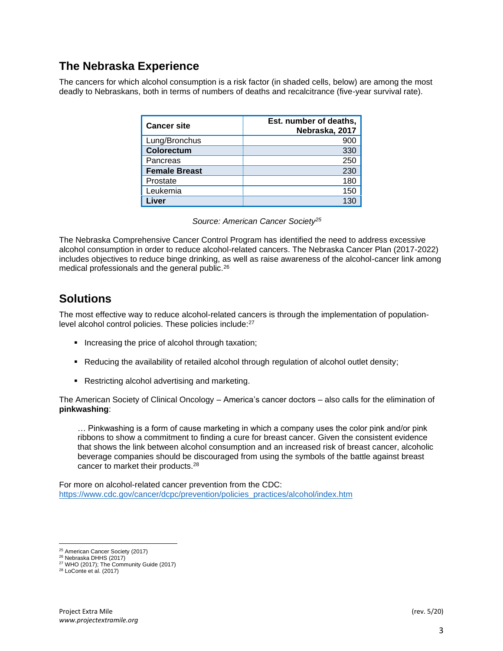### **The Nebraska Experience**

The cancers for which alcohol consumption is a risk factor (in shaded cells, below) are among the most deadly to Nebraskans, both in terms of numbers of deaths and recalcitrance (five-year survival rate).

| <b>Cancer site</b>   | Est. number of deaths,<br>Nebraska, 2017 |
|----------------------|------------------------------------------|
| Lung/Bronchus        | 900                                      |
| Colorectum           | 330                                      |
| Pancreas             | 250                                      |
| <b>Female Breast</b> | 230                                      |
| Prostate             | 180                                      |
| Leukemia             | 150                                      |
| Liver                | 130                                      |

*Source: American Cancer Society<sup>25</sup>*

The Nebraska Comprehensive Cancer Control Program has identified the need to address excessive alcohol consumption in order to reduce alcohol-related cancers. The Nebraska Cancer Plan (2017-2022) includes objectives to reduce binge drinking, as well as raise awareness of the alcohol-cancer link among medical professionals and the general public.<sup>26</sup>

## **Solutions**

The most effective way to reduce alcohol-related cancers is through the implementation of populationlevel alcohol control policies. These policies include:<sup>27</sup>

- **•** Increasing the price of alcohol through taxation;
- Reducing the availability of retailed alcohol through regulation of alcohol outlet density;
- Restricting alcohol advertising and marketing.

The American Society of Clinical Oncology – America's cancer doctors – also calls for the elimination of **pinkwashing**:

… Pinkwashing is a form of cause marketing in which a company uses the color pink and/or pink ribbons to show a commitment to finding a cure for breast cancer. Given the consistent evidence that shows the link between alcohol consumption and an increased risk of breast cancer, alcoholic beverage companies should be discouraged from using the symbols of the battle against breast cancer to market their products.<sup>28</sup>

For more on alcohol-related cancer prevention from the CDC: [https://www.cdc.gov/cancer/dcpc/prevention/policies\\_practices/alcohol/index.htm](https://www.cdc.gov/cancer/dcpc/prevention/policies_practices/alcohol/index.htm)

<sup>25</sup> American Cancer Society (2017)

<sup>26</sup> Nebraska DHHS (2017)

<sup>27</sup> WHO (2017); The Community Guide (2017)

<sup>28</sup> LoConte et al. (2017)